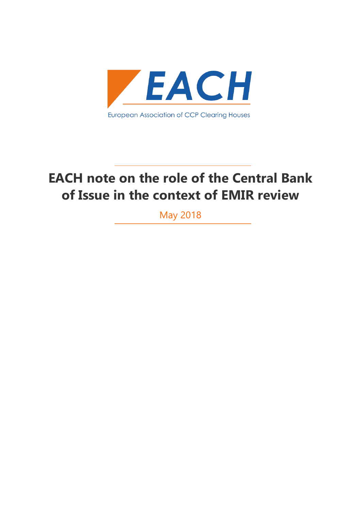

## **EACH note on the role of the Central Bank of Issue in the context of EMIR review**

May 2018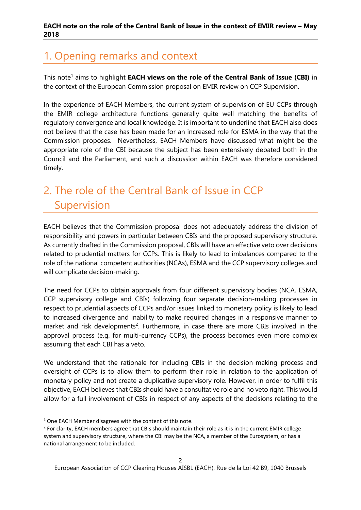## 1. Opening remarks and context

This note<sup>1</sup> aims to highlight **EACH views on the role of the Central Bank of Issue (CBI)** in the context of the European Commission proposal on EMIR review on CCP Supervision.

In the experience of EACH Members, the current system of supervision of EU CCPs through the EMIR college architecture functions generally quite well matching the benefits of regulatory convergence and local knowledge. It is important to underline that EACH also does not believe that the case has been made for an increased role for ESMA in the way that the Commission proposes. Nevertheless, EACH Members have discussed what might be the appropriate role of the CBI because the subject has been extensively debated both in the Council and the Parliament, and such a discussion within EACH was therefore considered timely.

## 2. The role of the Central Bank of Issue in CCP Supervision

EACH believes that the Commission proposal does not adequately address the division of responsibility and powers in particular between CBIs and the proposed supervisory structure. As currently drafted in the Commission proposal, CBIs will have an effective veto over decisions related to prudential matters for CCPs. This is likely to lead to imbalances compared to the role of the national competent authorities (NCAs), ESMA and the CCP supervisory colleges and will complicate decision-making.

The need for CCPs to obtain approvals from four different supervisory bodies (NCA, ESMA, CCP supervisory college and CBIs) following four separate decision-making processes in respect to prudential aspects of CCPs and/or issues linked to monetary policy is likely to lead to increased divergence and inability to make required changes in a responsive manner to market and risk developments<sup>2</sup>. Furthermore, in case there are more CBIs involved in the approval process (e.g. for multi-currency CCPs), the process becomes even more complex assuming that each CBI has a veto.

We understand that the rationale for including CBIs in the decision-making process and oversight of CCPs is to allow them to perform their role in relation to the application of monetary policy and not create a duplicative supervisory role. However, in order to fulfil this objective, EACH believes that CBIs should have a consultative role and no veto right. This would allow for a full involvement of CBIs in respect of any aspects of the decisions relating to the

 $2$  For clarity, EACH members agree that CBIs should maintain their role as it is in the current EMIR college system and supervisory structure, where the CBI may be the NCA, a member of the Eurosystem, or has a national arrangement to be included.

 $1$  One EACH Member disagrees with the content of this note.